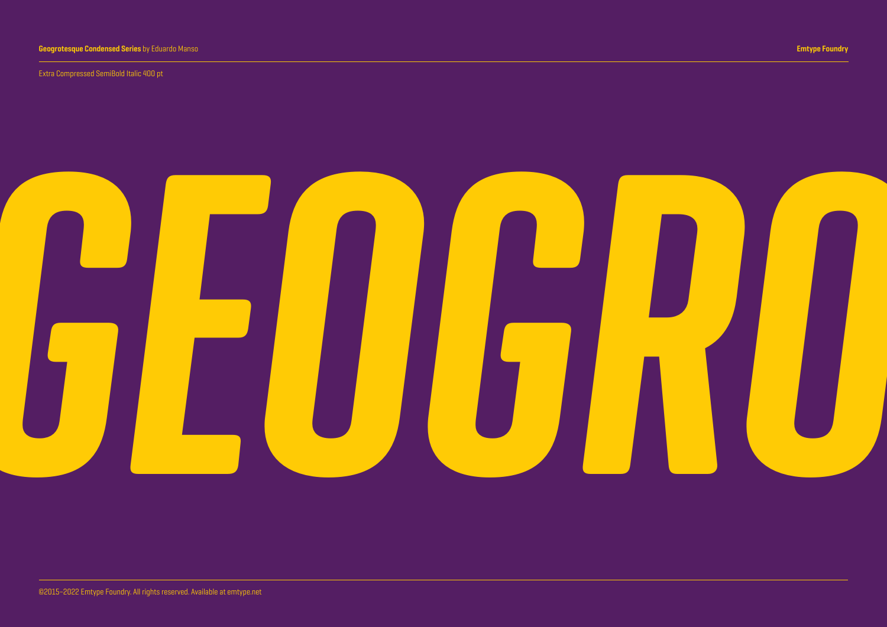Extra Compressed SemiBold Italic 400 pt

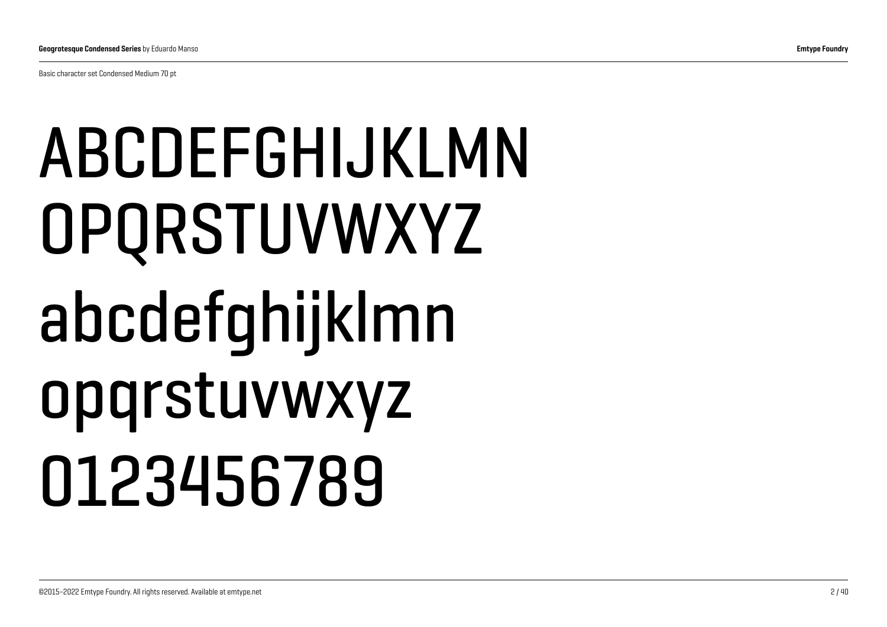Basic character set Condensed Medium 70 pt

## ABCDEFGHIJKLMN OPQRSTUVWXYZ abcdefghijklmn opqrstuvwxyz 0123456789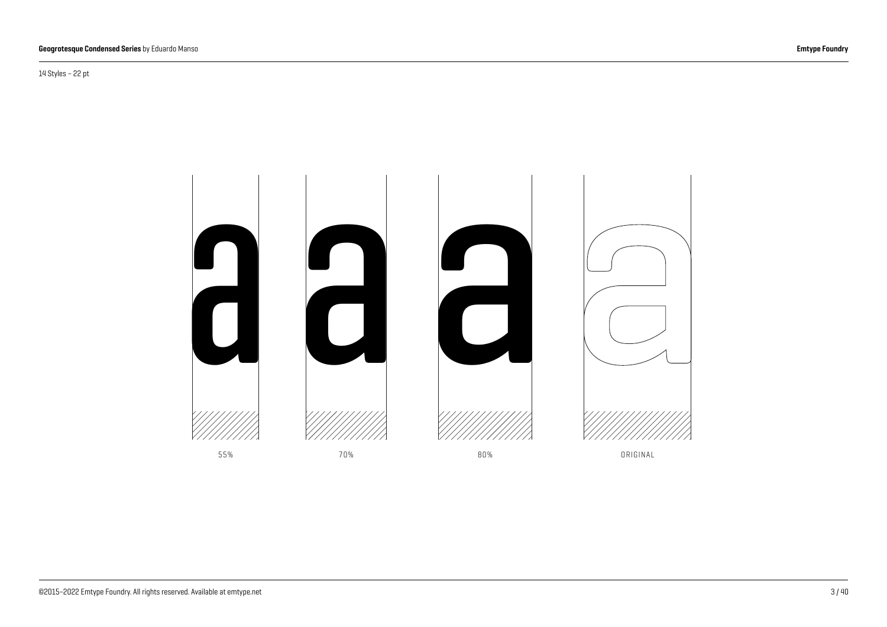14 Styles – 22 pt

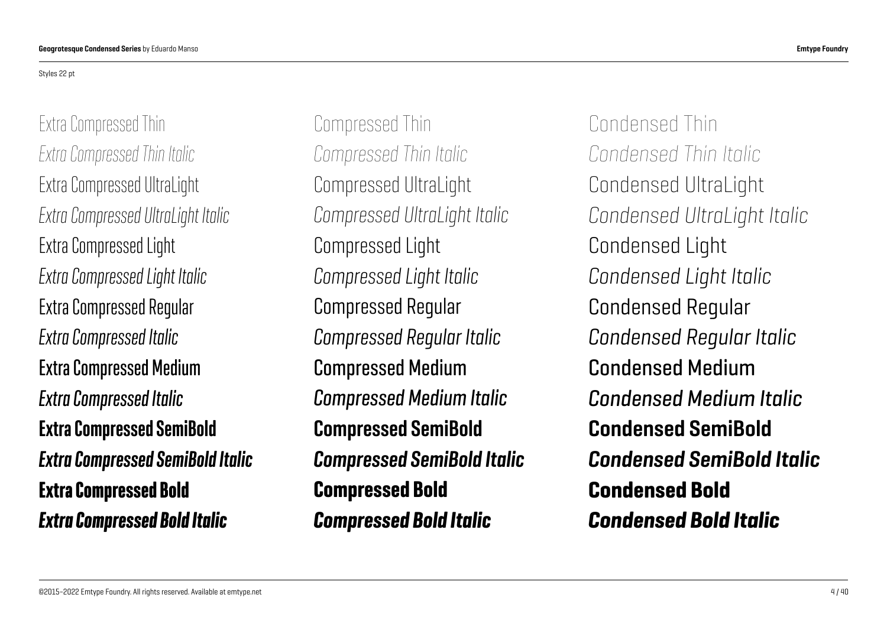#### Styles 22 pt

Extra Compressed Thin *Extra Compressed Thin Italic* Extra Compressed UltraLight *Extra Compressed UltraLight Italic* Extra Compressed Light *Extra Compressed Light Italic* Extra Compressed Regular *Extra Compressed Italic* Extra Compressed Medium *Extra Compressed Italic* Extra Compressed SemiBold *Extra Compressed SemiBold Italic* Extra Compressed Bold *Extra Compressed Bold Italic*

Compressed Thin *Compressed Thin Italic* Compressed UltraLight *Compressed UltraLight Italic* Compressed Light *Compressed Light Italic* Compressed Regular *Compressed Regular Italic* Compressed Medium *Compressed Medium Italic* Compressed SemiBold *Compressed SemiBold Italic* Compressed Bold *Compressed Bold Italic*

Condensed Thin *Condensed Thin Italic* Condensed UltraLight *Condensed UltraLight Italic* Condensed Light *Condensed Light Italic* Condensed Regular *Condensed Regular Italic* Condensed Medium *Condensed Medium Italic* Condensed SemiBold *Condensed SemiBold Italic* Condensed Bold *Condensed Bold Italic*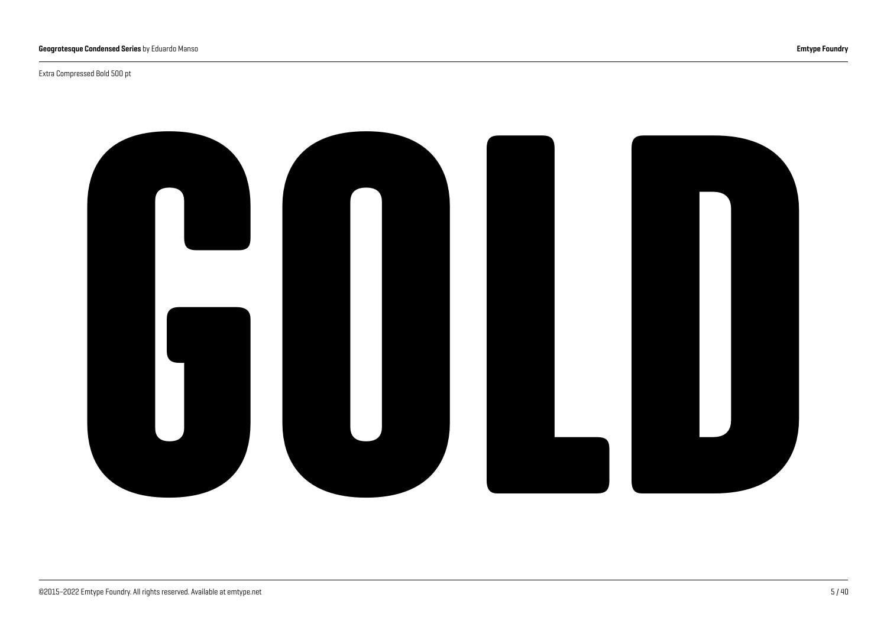#### Extra Compressed Bold 500 pt

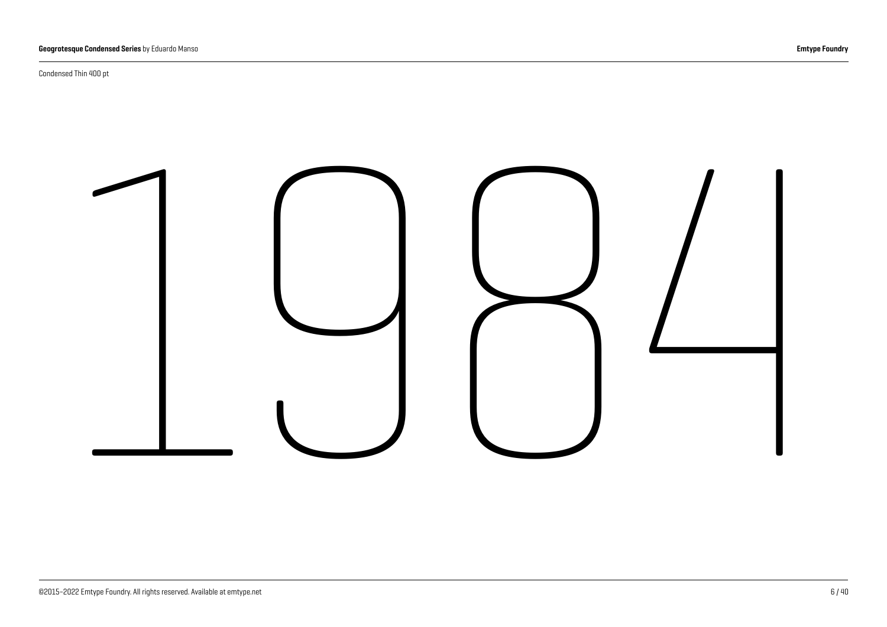Condensed Thin 400 pt

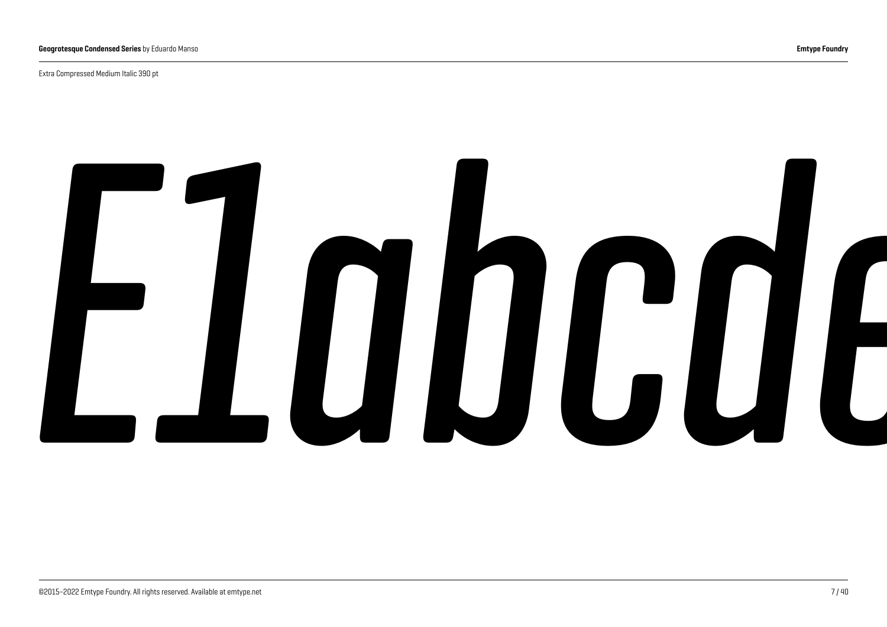Extra Compressed Medium Italic 390 pt

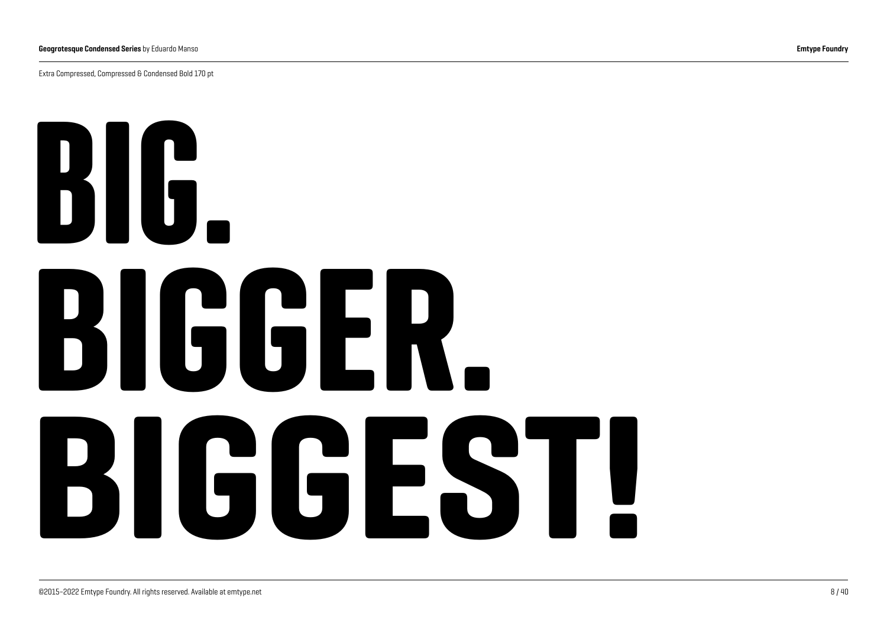Extra Compressed, Compressed & Condensed Bold 170 pt

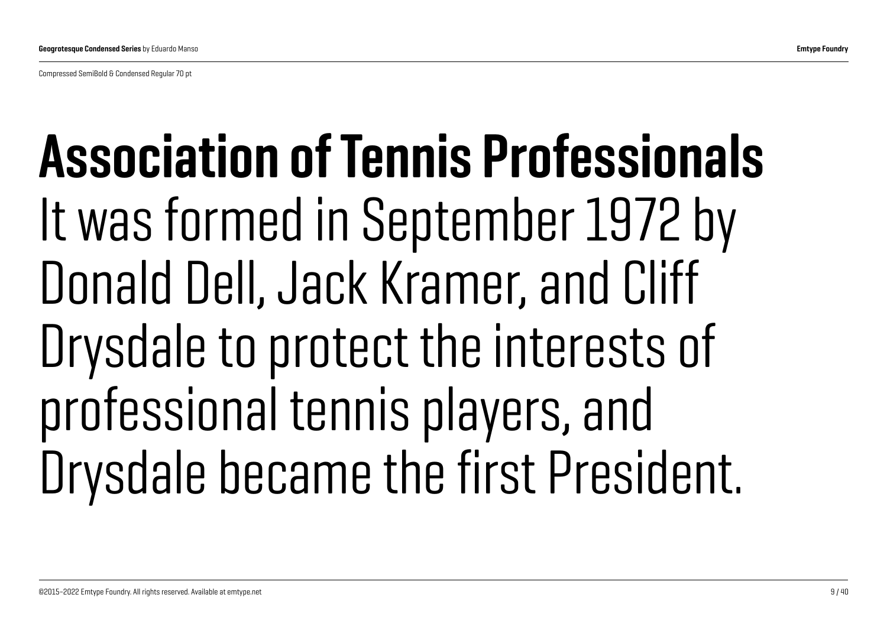Compressed SemiBold & Condensed Regular 70 pt

## Association of Tennis Professionals It was formed in September 1972 by Donald Dell, Jack Kramer, and Cliff Drysdale to protect the interests of professional tennis players, and Drysdale became the first President.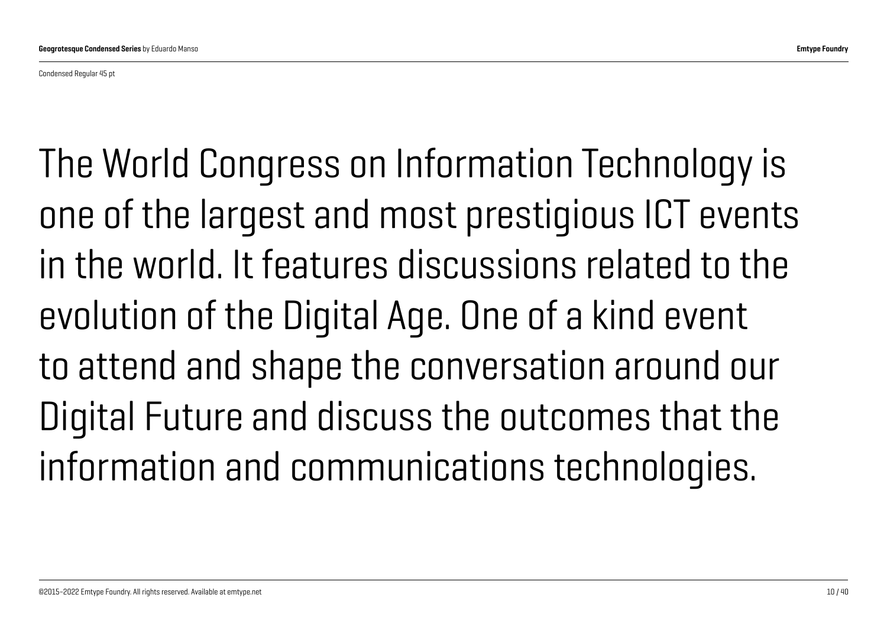Condensed Regular 45 pt

The World Congress on Information Technology is one of the largest and most prestigious ICT events in the world. It features discussions related to the evolution of the Digital Age. One of a kind event to attend and shape the conversation around our Digital Future and discuss the outcomes that the information and communications technologies.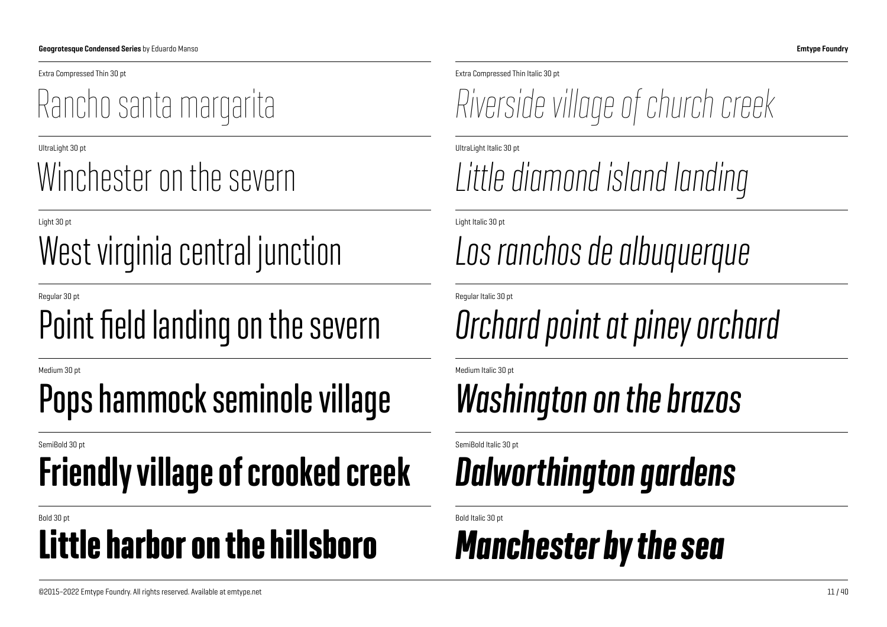## West virginia central junction *Los ranchos de albuquerque*

#### Regular 30 pt Regular Italic 30 pt Point field landing on the severn *Orchard point at piney orchard*

#### Medium 30 pt Medium Italic 30 pt Pops hammock seminole village *Washington on the brazos*

## Friendly village of crooked creek *Dalworthington gardens*

#### Bold 30 pt Bold Italic 30 pt Little harbor on the hillsboro *Manchester by the sea*

Extra Compressed Thin 30 pt Extra Compressed Thin Italic 30 pt

Rancho santa margarita *Riverside village of church creek*

UltraLight 30 pt UltraLight Italic 30 pt

## Winchester on the severn *Little diamond island landing*

Light 30 pt Light Italic 30 pt

SemiBold 30 pt SemiBold Italic 30 pt SemiBold Italic 30 pt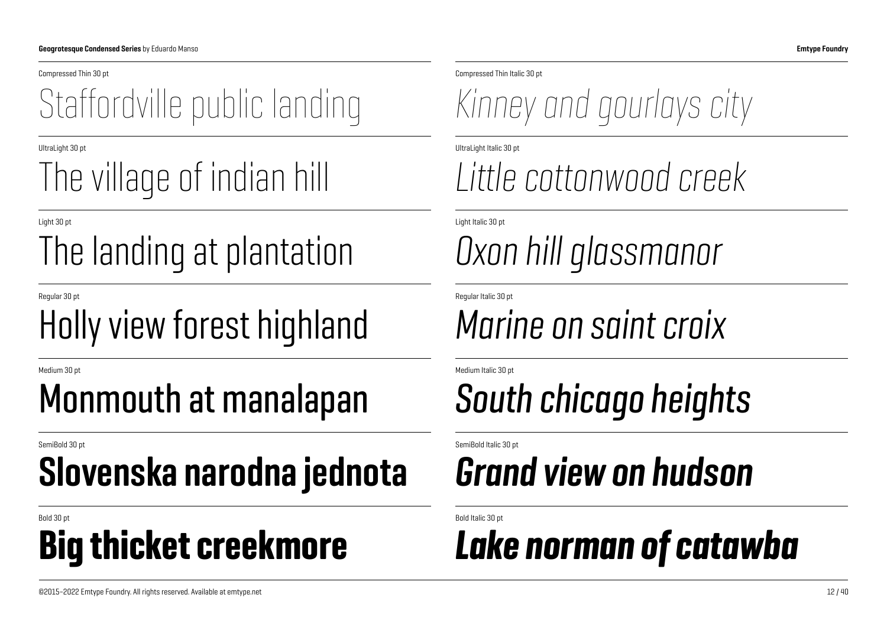### Staffordville public landing *Kinney and gourlays city*

### The village of indian hill *Little cottonwood creek*

## The landing at plantation *Oxon hill glassmanor*

### Holly view forest highland *Marine on saint croix*

### Monmouth at manalapan *South chicago heights*

## Slovenska narodna jednota *Grand view on hudson*

## Bold 30 pt Bold Italic 30 pt

Compressed Thin 30 pt Compressed Thin Italic 30 pt

UltraLight 30 pt UltraLight Italic 30 pt

Light 30 pt Light Italic 30 pt

Regular 30 pt Regular Italic 30 pt

Medium 30 pt Medium Italic 30 pt

SemiBold 30 pt SemiBold Italic 30 pt SemiBold Italic 30 pt

### Big thicket creekmore *Lake norman of catawba*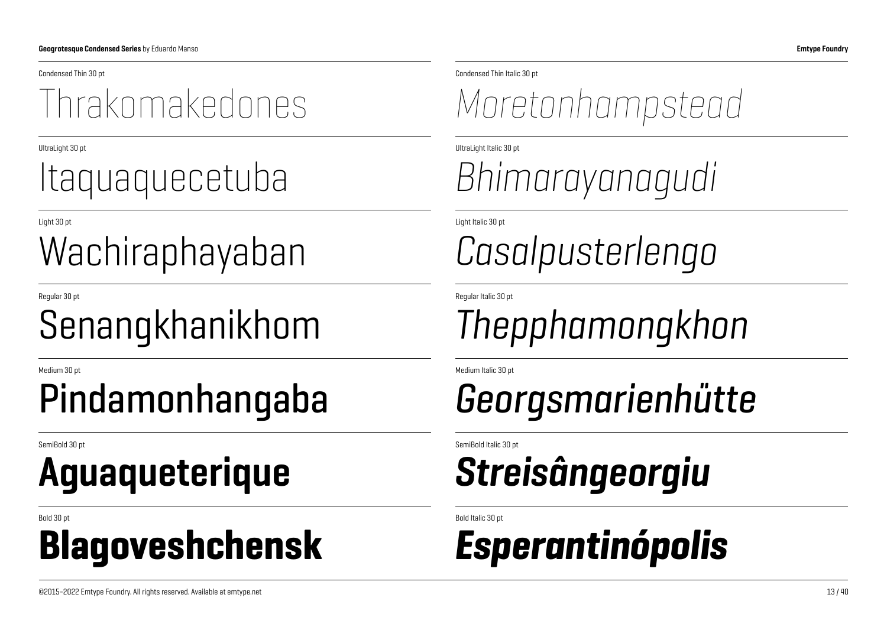### Wachiraphayaban *Casalpusterlengo*

## Aguaqueterique *Streisângeorgiu*

#### Bold 30 pt Bold Italic 30 pt Blagoveshchensk *Esperantinópolis*

Condensed Thin 30 pt Condensed Thin Italic 30 pt

#### Thrakomakedones *Moretonhampstead*

UltraLight 30 pt UltraLight Italic 30 pt

## Itaquaquecetuba *Bhimarayanagudi*

Light 30 pt Light Italic 30 pt

Regular 30 pt Regular Italic 30 pt

### Senangkhanikhom *Thepphamongkhon*

Medium 30 pt Medium Italic 30 pt

## Pindamonhangaba *Georgsmarienhütte*

SemiBold 30 pt SemiBold Italic 30 pt SemiBold Italic 30 pt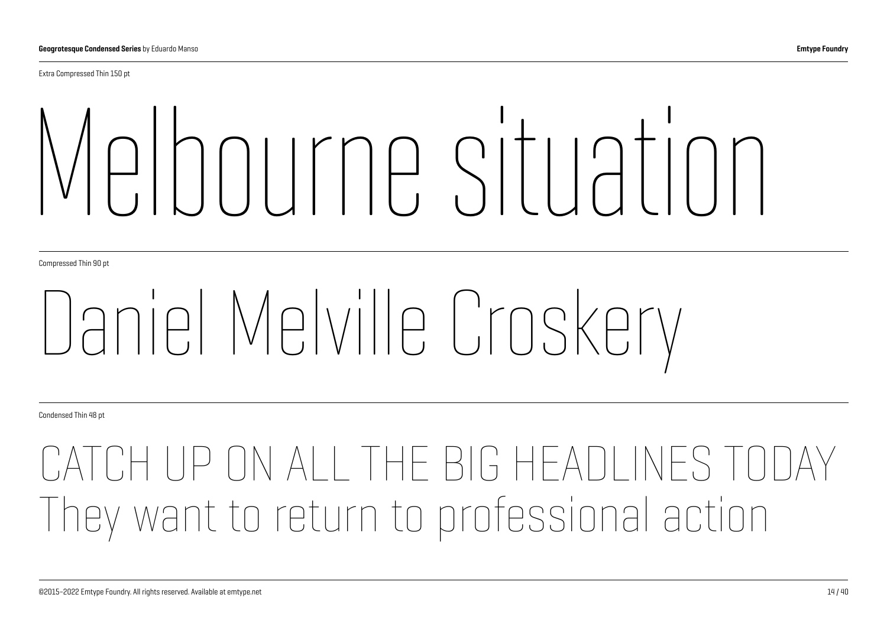Extra Compressed Thin 150 pt

# Melbourne situation

Compressed Thin 90 pt

## Daniel Melville Croskery

Condensed Thin 48 pt

## ALL THE BIG HEADLINES TODAY They want to return to professional action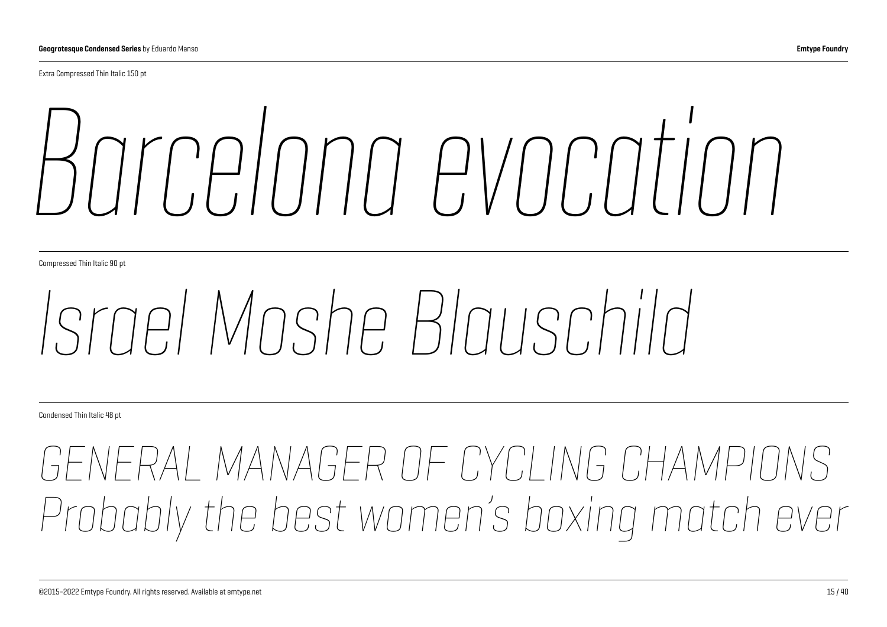Extra Compressed Thin Italic 150 pt

# *Barcelona evocation*

Compressed Thin Italic 90 pt

## *Israel Moshe Blauschild*

Condensed Thin Italic 48 pt

## *GENERAL MANAGER OF CYCLING CHAMPIO Probably the best women's boxing match ever*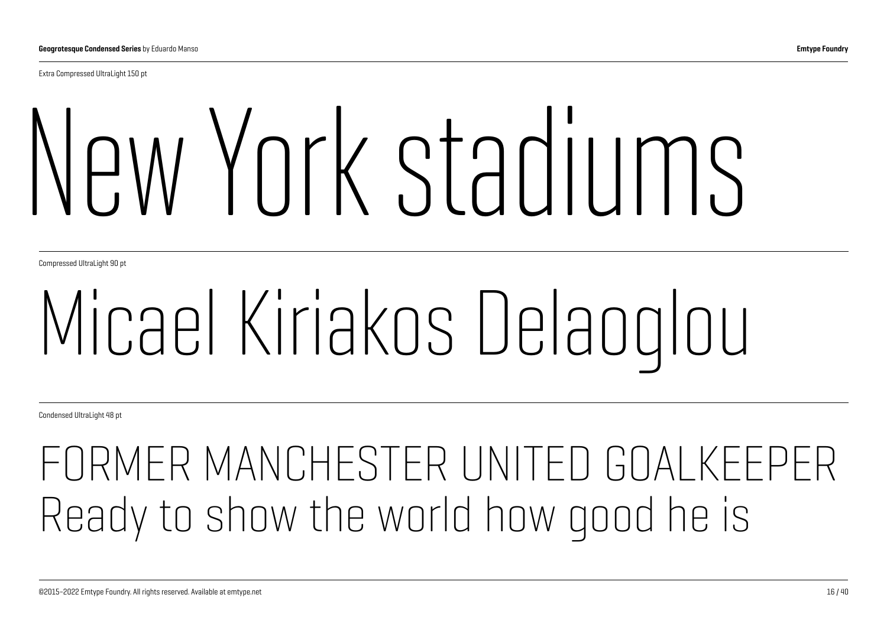Extra Compressed UltraLight 150 pt

# New York stadiums

Compressed UltraLight 90 pt

## Micael Kiriakos Delaoglou

Condensed UltraLight 48 pt

## FORMER MANCHESTER UNITED GOALKEEPER Ready to show the world how good he is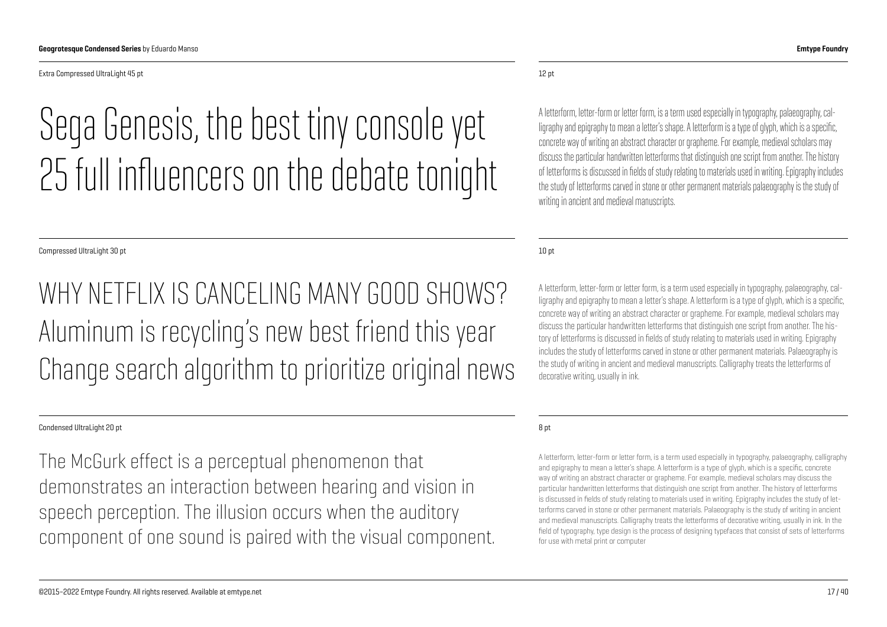Extra Compressed UltraLight 45 pt

## Sega Genesis, the best tiny console yet 25 full influencers on the debate tonight

Compressed UltraLight 30 pt

WHY NETELIX IS CANCELING MANY GOOD SHOWS? Aluminum is recycling's new best friend this year Change search algorithm to prioritize original news

#### Condensed UltraLight 20 pt

The McGurk effect is a perceptual phenomenon that demonstrates an interaction between hearing and vision in speech perception. The illusion occurs when the auditory component of one sound is paired with the visual component.

#### 12 pt

A letterform, letter-form or letter form, is a term used especially in typography, palaeography, calligraphy and epigraphy to mean a letter's shape. A letterform is a type of glyph, which is a specific, concrete way of writing an abstract character or grapheme. For example, medieval scholars may discuss the particular handwritten letterforms that distinguish one script from another. The history of letterforms is discussed in fields of study relating to materials used in writing. Epigraphy includes the study of letterforms carved in stone or other permanent materials palaeography is the study of writing in ancient and medieval manuscripts.

10 pt

A letterform, letter-form or letter form, is a term used especially in typography, palaeography, calligraphy and epigraphy to mean a letter's shape. A letterform is a type of glyph, which is a specific, concrete way of writing an abstract character or grapheme. For example, medieval scholars may discuss the particular handwritten letterforms that distinguish one script from another. The history of letterforms is discussed in fields of study relating to materials used in writing. Epigraphy includes the study of letterforms carved in stone or other permanent materials. Palaeography is the study of writing in ancient and medieval manuscripts. Calligraphy treats the letterforms of decorative writing, usually in ink.

#### 8 pt

A letterform, letter-form or letter form, is a term used especially in typography, palaeography, calligraphy and epigraphy to mean a letter's shape. A letterform is a type of glyph, which is a specific, concrete way of writing an abstract character or grapheme. For example, medieval scholars may discuss the particular handwritten letterforms that distinguish one script from another. The history of letterforms is discussed in fields of study relating to materials used in writing. Epigraphy includes the study of letterforms carved in stone or other permanent materials. Palaeography is the study of writing in ancient and medieval manuscripts. Calligraphy treats the letterforms of decorative writing, usually in ink. In the field of typography, type design is the process of designing typefaces that consist of sets of letterforms for use with metal print or computer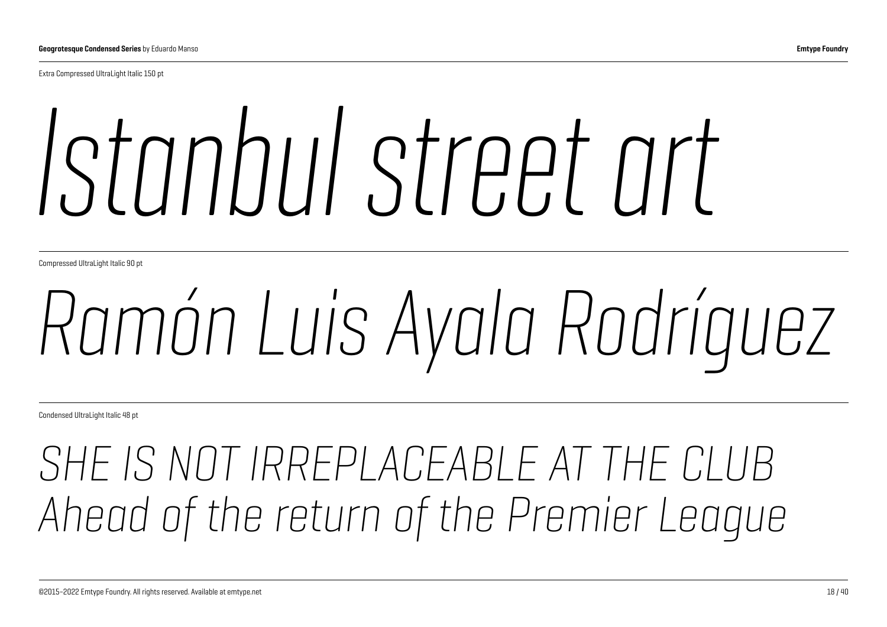Extra Compressed UltraLight Italic 150 pt

# *Istanbul street art*

Compressed UltraLight Italic 90 pt

## *Ramón Luis Ayala Rodríguez*

Condensed UltraLight Italic 48 pt

## *SHE IS NOT IRREPLACEABLE AT THE CLUB Ahead of the return of the Premier League*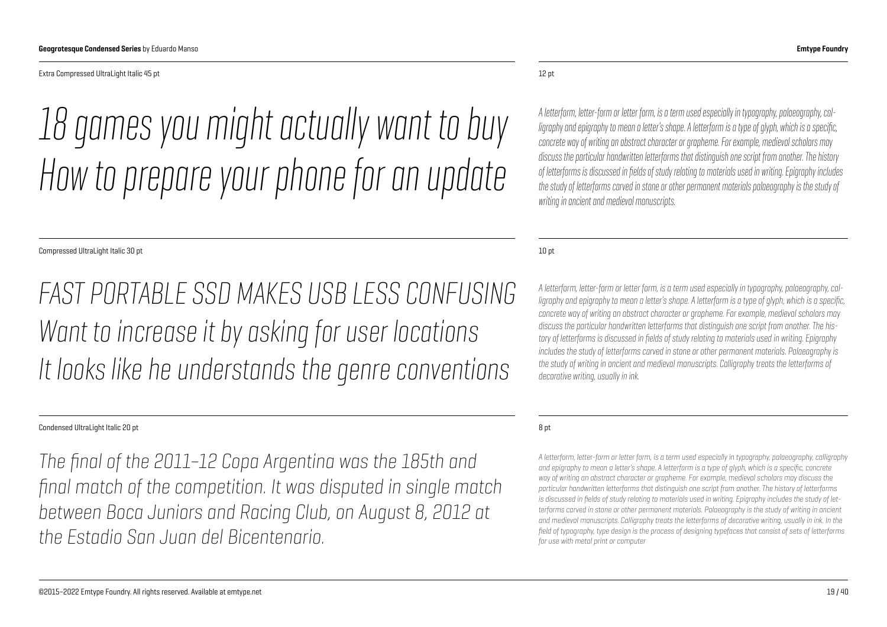Extra Compressed UltraLight Italic 45 pt

## *18 games you might actually want to buy How to prepare your phone for an update*

Compressed UltraLight Italic 30 pt

*FAST PORTABLE SSD MAKES USB LESS CONFUSING Want to increase it by asking for user locations It looks like he understands the genre conventions*

#### Condensed UltraLight Italic 20 pt

*The final of the 2011–12 Copa Argentina was the 185th and final match of the competition. It was disputed in single match between Boca Juniors and Racing Club, on August 8, 2012 at the Estadio San Juan del Bicentenario.*

#### 12 pt

*A letterform, letter-form or letter form, is a term used especially in typography, palaeography, calligraphy and epigraphy to mean a letter's shape. A letterform is a type of glyph, which is a specific, concrete way of writing an abstract character or grapheme. For example, medieval scholars may discuss the particular handwritten letterforms that distinguish one script from another. The history of letterforms is discussed in fields of study relating to materials used in writing. Epigraphy includes the study of letterforms carved in stone or other permanent materials palaeography is the study of writing in ancient and medieval manuscripts.*

10 pt

*A letterform, letter-form or letter form, is a term used especially in typography, palaeography, calligraphy and epigraphy to mean a letter's shape. A letterform is a type of glyph, which is a specific, concrete way of writing an abstract character or grapheme. For example, medieval scholars may discuss the particular handwritten letterforms that distinguish one script from another. The history of letterforms is discussed in fields of study relating to materials used in writing. Epigraphy includes the study of letterforms carved in stone or other permanent materials. Palaeography is the study of writing in ancient and medieval manuscripts. Calligraphy treats the letterforms of decorative writing, usually in ink.*

#### 8 pt

*A letterform, letter-form or letter form, is a term used especially in typography, palaeography, calligraphy and epigraphy to mean a letter's shape. A letterform is a type of glyph, which is a specific, concrete way of writing an abstract character or grapheme. For example, medieval scholars may discuss the particular handwritten letterforms that distinguish one script from another. The history of letterforms is discussed in fields of study relating to materials used in writing. Epigraphy includes the study of letterforms carved in stone or other permanent materials. Palaeography is the study of writing in ancient and medieval manuscripts. Calligraphy treats the letterforms of decorative writing, usually in ink. In the field of typography, type design is the process of designing typefaces that consist of sets of letterforms for use with metal print or computer*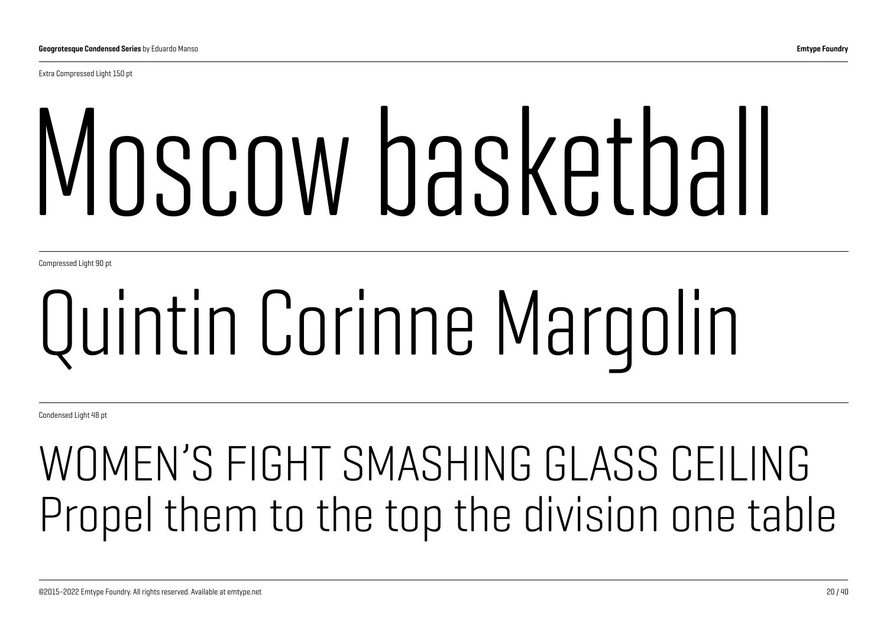Extra Compressed Light 150 pt

# Moscow basketball

Compressed Light 90 pt

# Quintin Corinne Margolin

Condensed Light 48 pt

## WOMEN'S FIGHT SMASHING GLASS CEILING Propel them to the top the division one table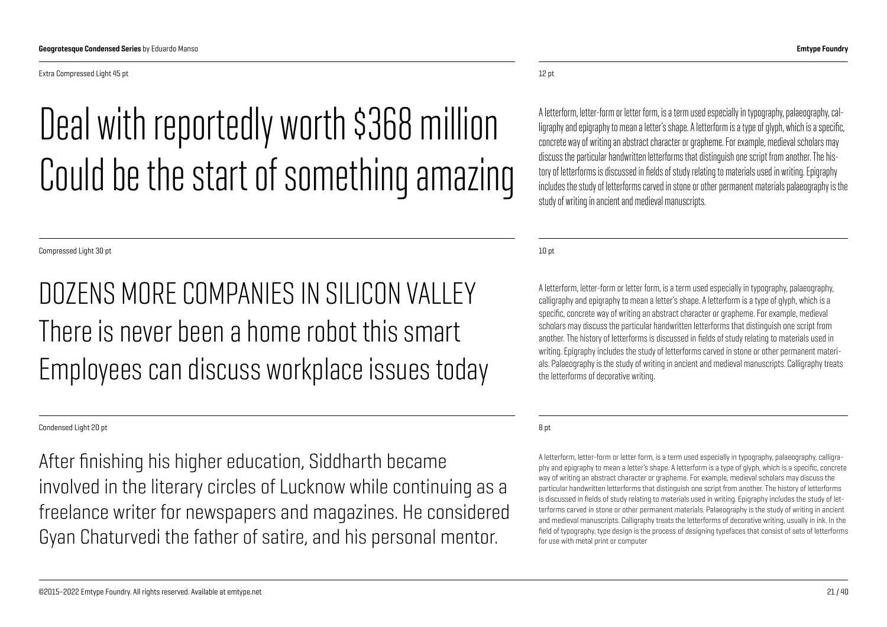Extra Compressed Light 45 pt

## Deal with reportedly worth \$368 million Could be the start of something amazing

Compressed Light 30 pt

#### DOZENS MORE COMPANIES IN SILICON VALLEY There is never heen a home robot this smart Employees can discuss workplace issues today

Condensed Light 20 pt

After finishing his higher education, Siddharth became involved in the literary circles of Lucknow while continuing as a freelance writer for newspapers and magazines. He considered Gyan Chaturvedi the father of satire, and his personal mentor.

12 pt

A letterform, letter-form or letter form, is a term used especially in typography, palaeography, calligraphy and epigraphy to mean a letter's shape. A letterform is a type of glyph, which is a specific, concrete way of writing an abstract character or grapheme. For example, medieval scholars may discuss the particular handwritten letterforms that distinguish one script from another. The history of letterforms is discussed in fields of study relating to materials used in writing. Epigraphy includes the study of letterforms carved in stone or other permanent materials palaeography is the study of writing in ancient and medieval manuscripts.

10 pt

A letterform, letter-form or letter form, is a term used especially in typography, palaeography, calligraphy and epigraphy to mean a letter's shape. A letterform is a type of glyph, which is a specific, concrete way of writing an abstract character or grapheme. For example, medieval scholars may discuss the particular handwritten letterforms that distinguish one script from another. The history of letterforms is discussed in fields of study relating to materials used in writing. Epigraphy includes the study of letterforms carved in stone or other permanent materials. Palaeography is the study of writing in ancient and medieval manuscripts. Calligraphy treats the letterforms of decorative writing.

8 pt

A letterform, letter-form or letter form, is a term used especially in typography, palaeography, calligraphy and epigraphy to mean a letter's shape. A letterform is a type of glyph, which is a specific, concrete way of writing an abstract character or grapheme. For example, medieval scholars may discuss the particular handwritten letterforms that distinguish one script from another. The history of letterforms is discussed in fields of study relating to materials used in writing. Epigraphy includes the study of letterforms carved in stone or other permanent materials. Palaeography is the study of writing in ancient and medieval manuscripts. Calligraphy treats the letterforms of decorative writing, usually in ink. In the field of typography, type design is the process of designing typefaces that consist of sets of letterforms for use with metal print or computer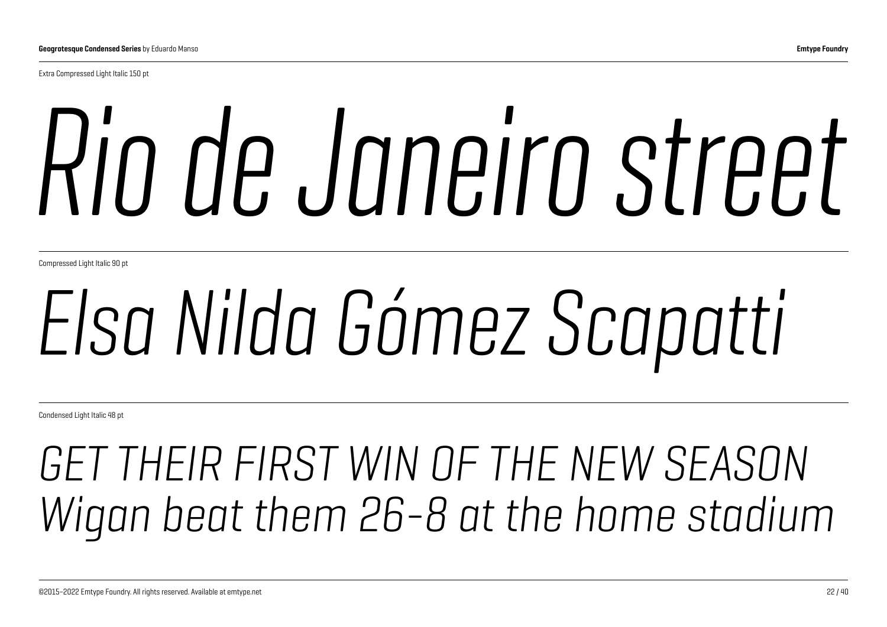Extra Compressed Light Italic 150 pt

# *Rio de Janeiro street*

Compressed Light Italic 90 pt

## *Elsa Nilda Gómez Scapatti*

Condensed Light Italic 48 pt

## *GET THEIR FIRST WIN OF THE NEW SEASON Wigan beat them 26-8 at the home stadium*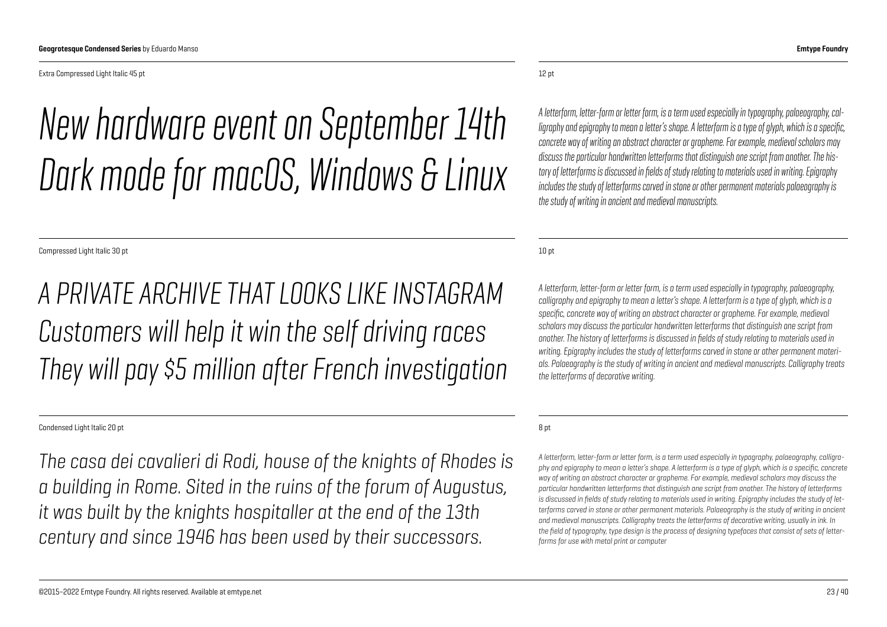Extra Compressed Light Italic 45 pt

## *New hardware event on September 14th Dark mode for macOS, Windows & Linux*

Compressed Light Italic 30 pt

*A PRIVATE ARCHIVE THAT LOOKS LIKE INSTAGRAM Customers will help it win the self driving races They will pay \$5 million after French investigation*

#### Condensed Light Italic 20 pt

*The casa dei cavalieri di Rodi, house of the knights of Rhodes is a building in Rome. Sited in the ruins of the forum of Augustus, it was built by the knights hospitaller at the end of the 13th century and since 1946 has been used by their successors.*

#### 12 pt

*A letterform, letter-form or letter form, is a term used especially in typography, palaeography, calligraphy and epigraphy to mean a letter's shape. A letterform is a type of glyph, which is a specific, concrete way of writing an abstract character or grapheme. For example, medieval scholars may discuss the particular handwritten letterforms that distinguish one script from another. The history of letterforms is discussed in fields of study relating to materials used in writing. Epigraphy includes the study of letterforms carved in stone or other permanent materials palaeography is the study of writing in ancient and medieval manuscripts.*

10 pt

*A letterform, letter-form or letter form, is a term used especially in typography, palaeography, calligraphy and epigraphy to mean a letter's shape. A letterform is a type of glyph, which is a specific, concrete way of writing an abstract character or grapheme. For example, medieval scholars may discuss the particular handwritten letterforms that distinguish one script from another. The history of letterforms is discussed in fields of study relating to materials used in writing. Epigraphy includes the study of letterforms carved in stone or other permanent materials. Palaeography is the study of writing in ancient and medieval manuscripts. Calligraphy treats the letterforms of decorative writing.*

8 pt

*A letterform, letter-form or letter form, is a term used especially in typography, palaeography, calligraphy and epigraphy to mean a letter's shape. A letterform is a type of glyph, which is a specific, concrete way of writing an abstract character or grapheme. For example, medieval scholars may discuss the particular handwritten letterforms that distinguish one script from another. The history of letterforms is discussed in fields of study relating to materials used in writing. Epigraphy includes the study of letterforms carved in stone or other permanent materials. Palaeography is the study of writing in ancient and medieval manuscripts. Calligraphy treats the letterforms of decorative writing, usually in ink. In the field of typography, type design is the process of designing typefaces that consist of sets of letterforms for use with metal print or computer*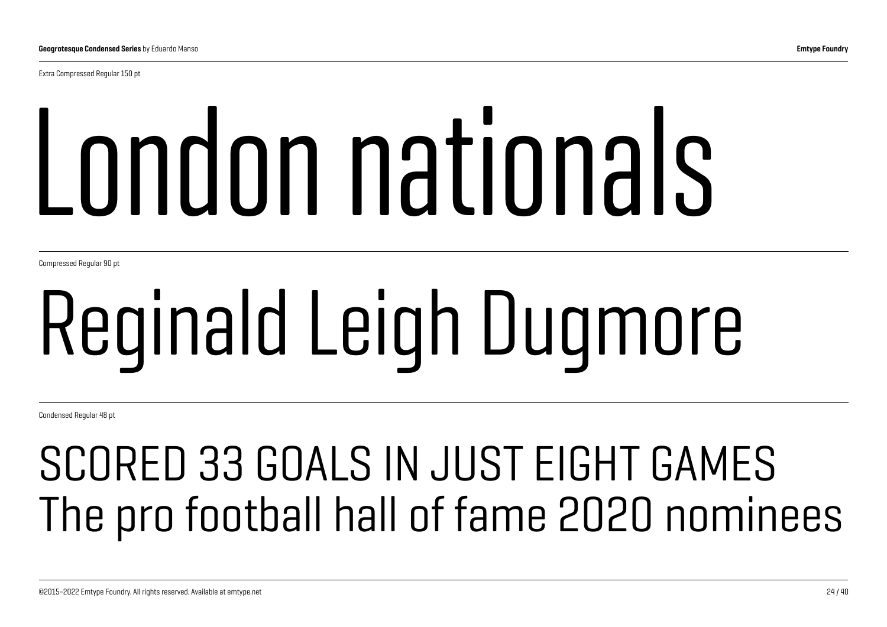Extra Compressed Regular 150 pt

# London nationals

Compressed Regular 90 pt

# Reginald Leigh Dugmore

Condensed Regular 48 pt

## SCORED 33 GOALS IN JUST EIGHT GAMES The pro football hall of fame 2020 nominees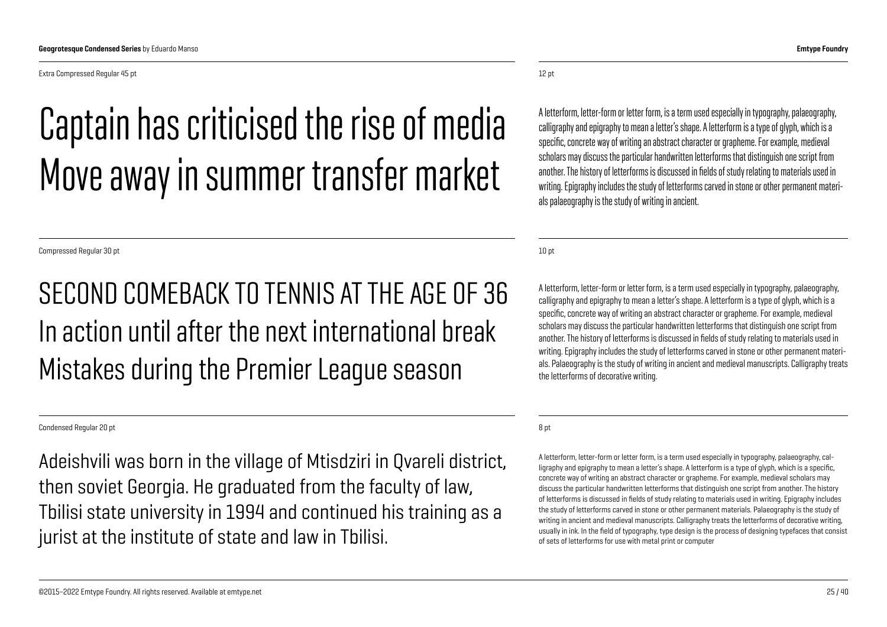Extra Compressed Regular 45 pt

## Captain has criticised the rise of media Move away in summer transfer market

Compressed Regular 30 pt

#### SECOND COMEBACK TO TENNIS AT THE AGE OF 36 In action until after the next international break Mistakes during the Premier League season

#### Condensed Regular 20 pt

Adeishvili was born in the village of Mtisdziri in Qvareli district, then soviet Georgia. He graduated from the faculty of law, Tbilisi state university in 1994 and continued his training as a jurist at the institute of state and law in Tbilisi.

12 pt

A letterform, letter-form or letter form, is a term used especially in typography, palaeography, calligraphy and epigraphy to mean a letter's shape. A letterform is a type of glyph, which is a specific, concrete way of writing an abstract character or grapheme. For example, medieval scholars may discuss the particular handwritten letterforms that distinguish one script from another. The history of letterforms is discussed in fields of study relating to materials used in writing. Epigraphy includes the study of letterforms carved in stone or other permanent materials palaeography is the study of writing in ancient.

10 pt

A letterform, letter-form or letter form, is a term used especially in typography, palaeography, calligraphy and epigraphy to mean a letter's shape. A letterform is a type of glyph, which is a specific, concrete way of writing an abstract character or grapheme. For example, medieval scholars may discuss the particular handwritten letterforms that distinguish one script from another. The history of letterforms is discussed in fields of study relating to materials used in writing. Epigraphy includes the study of letterforms carved in stone or other permanent materials. Palaeography is the study of writing in ancient and medieval manuscripts. Calligraphy treats the letterforms of decorative writing.

8 pt

A letterform, letter-form or letter form, is a term used especially in typography, palaeography, calligraphy and epigraphy to mean a letter's shape. A letterform is a type of glyph, which is a specific, concrete way of writing an abstract character or grapheme. For example, medieval scholars may discuss the particular handwritten letterforms that distinguish one script from another. The history of letterforms is discussed in fields of study relating to materials used in writing. Epigraphy includes the study of letterforms carved in stone or other permanent materials. Palaeography is the study of writing in ancient and medieval manuscripts. Calligraphy treats the letterforms of decorative writing, usually in ink. In the field of typography, type design is the process of designing typefaces that consist of sets of letterforms for use with metal print or computer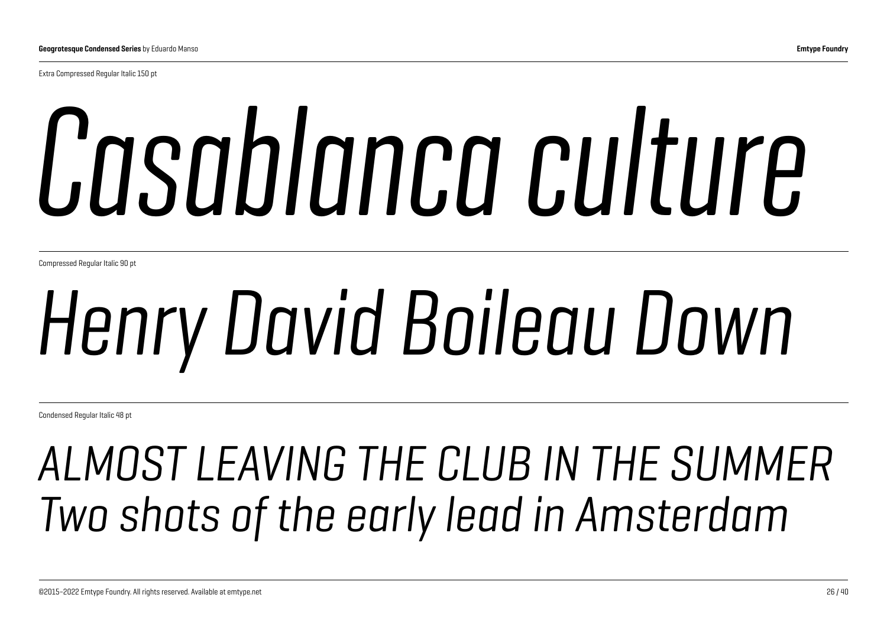Extra Compressed Regular Italic 150 pt

# *Casablanca culture*

Compressed Regular Italic 90 pt

## *Henry David Boileau Down*

Condensed Regular Italic 48 pt

## *ALMOST LEAVING THE CLUB IN THE SUMMER Two shots of the early lead in Amsterdam*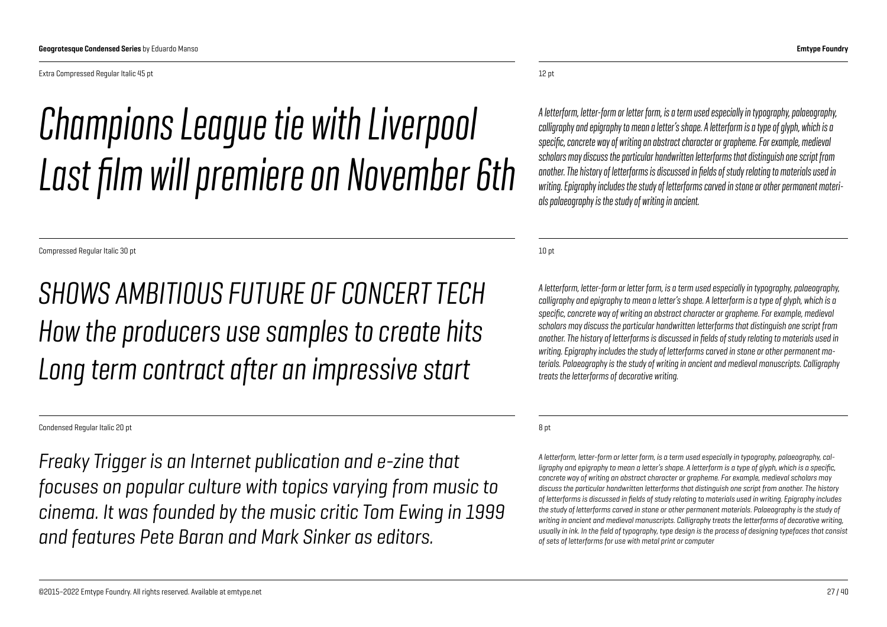### *Champions League tie with Liverpool Last film will premiere on November 6th*

Compressed Regular Italic 30 pt

*SHOWS AMBITIOUS FUTURE OF CONCERT TECH How the producers use samples to create hits Long term contract after an impressive start*

Condensed Regular Italic 20 pt

*Freaky Trigger is an Internet publication and e-zine that focuses on popular culture with topics varying from music to cinema. It was founded by the music critic Tom Ewing in 1999 and features Pete Baran and Mark Sinker as editors.*

#### 12 pt

*A letterform, letter-form or letter form, is a term used especially in typography, palaeography, calligraphy and epigraphy to mean a letter's shape. A letterform is a type of glyph, which is a specific, concrete way of writing an abstract character or grapheme. For example, medieval scholars may discuss the particular handwritten letterforms that distinguish one script from another. The history of letterforms is discussed in fields of study relating to materials used in writing. Epigraphy includes the study of letterforms carved in stone or other permanent materials palaeography is the study of writing in ancient.*

10 pt

*A letterform, letter-form or letter form, is a term used especially in typography, palaeography, calligraphy and epigraphy to mean a letter's shape. A letterform is a type of glyph, which is a specific, concrete way of writing an abstract character or grapheme. For example, medieval scholars may discuss the particular handwritten letterforms that distinguish one script from another. The history of letterforms is discussed in fields of study relating to materials used in writing. Epigraphy includes the study of letterforms carved in stone or other permanent materials. Palaeography is the study of writing in ancient and medieval manuscripts. Calligraphy treats the letterforms of decorative writing.*

8 pt

*A letterform, letter-form or letter form, is a term used especially in typography, palaeography, calligraphy and epigraphy to mean a letter's shape. A letterform is a type of glyph, which is a specific, concrete way of writing an abstract character or grapheme. For example, medieval scholars may discuss the particular handwritten letterforms that distinguish one script from another. The history of letterforms is discussed in fields of study relating to materials used in writing. Epigraphy includes*  the study of letterforms carved in stone or other permanent materials. Palaeography is the study of *writing in ancient and medieval manuscripts. Calligraphy treats the letterforms of decorative writing, usually in ink. In the field of typography, type design is the process of designing typefaces that consist of sets of letterforms for use with metal print or computer*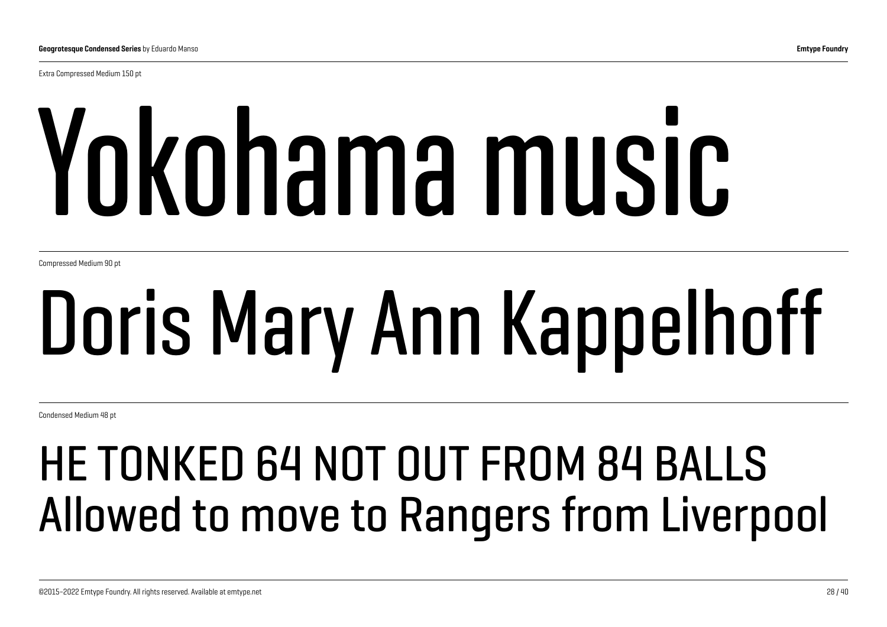Extra Compressed Medium 150 pt

# Yokohama music

Compressed Medium 90 pt

## Doris Mary Ann Kappelhoff

Condensed Medium 48 pt

## HE TONKED 64 NOT OUT FROM 84 BALLS Allowed to move to Rangers from Liverpool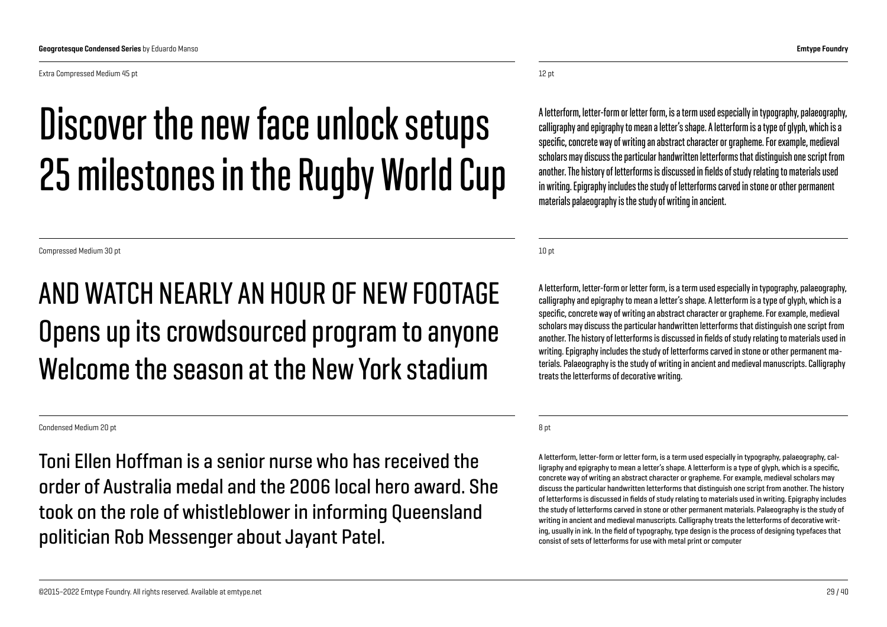Extra Compressed Medium 45 pt

## Discover the new face unlock setups 25 milestones in the Rugby World Cup

Compressed Medium 30 pt

#### AND WATCH NEARLY AN HOUR OF NEW FOOTAGE Opens up its crowdsourced program to anyone Welcome the season at the New York stadium

Condensed Medium 20 pt

Toni Ellen Hoffman is a senior nurse who has received the order of Australia medal and the 2006 local hero award. She took on the role of whistleblower in informing Queensland politician Rob Messenger about Jayant Patel.

12 pt

A letterform, letter-form or letter form, is a term used especially in typography, palaeography, calligraphy and epigraphy to mean a letter's shape. A letterform is a type of glyph, which is a specific, concrete way of writing an abstract character or grapheme. For example, medieval scholars may discuss the particular handwritten letterforms that distinguish one script from another. The history of letterforms is discussed in fields of study relating to materials used in writing. Epigraphy includes the study of letterforms carved in stone or other permanent materials palaeography is the study of writing in ancient.

10 pt

A letterform, letter-form or letter form, is a term used especially in typography, palaeography, calligraphy and epigraphy to mean a letter's shape. A letterform is a type of glyph, which is a specific, concrete way of writing an abstract character or grapheme. For example, medieval scholars may discuss the particular handwritten letterforms that distinguish one script from another. The history of letterforms is discussed in fields of study relating to materials used in writing. Epigraphy includes the study of letterforms carved in stone or other permanent materials. Palaeography is the study of writing in ancient and medieval manuscripts. Calligraphy treats the letterforms of decorative writing.

8 pt

A letterform, letter-form or letter form, is a term used especially in typography, palaeography, calligraphy and epigraphy to mean a letter's shape. A letterform is a type of glyph, which is a specific, concrete way of writing an abstract character or grapheme. For example, medieval scholars may discuss the particular handwritten letterforms that distinguish one script from another. The history of letterforms is discussed in fields of study relating to materials used in writing. Epigraphy includes the study of letterforms carved in stone or other permanent materials. Palaeography is the study of writing in ancient and medieval manuscripts. Calligraphy treats the letterforms of decorative writing, usually in ink. In the field of typography, type design is the process of designing typefaces that consist of sets of letterforms for use with metal print or computer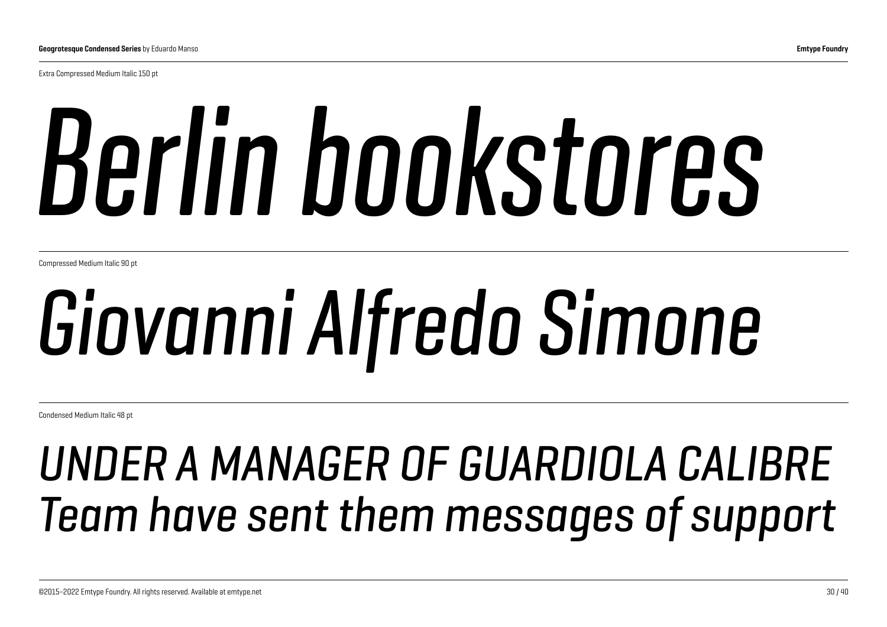Extra Compressed Medium Italic 150 pt

# *Berlin bookstores*

Compressed Medium Italic 90 pt

## *Giovanni Alfredo Simone*

Condensed Medium Italic 48 pt

## *UNDER A MANAGER OF GUARDIOLA CALIBRE Team have sent them messages of support*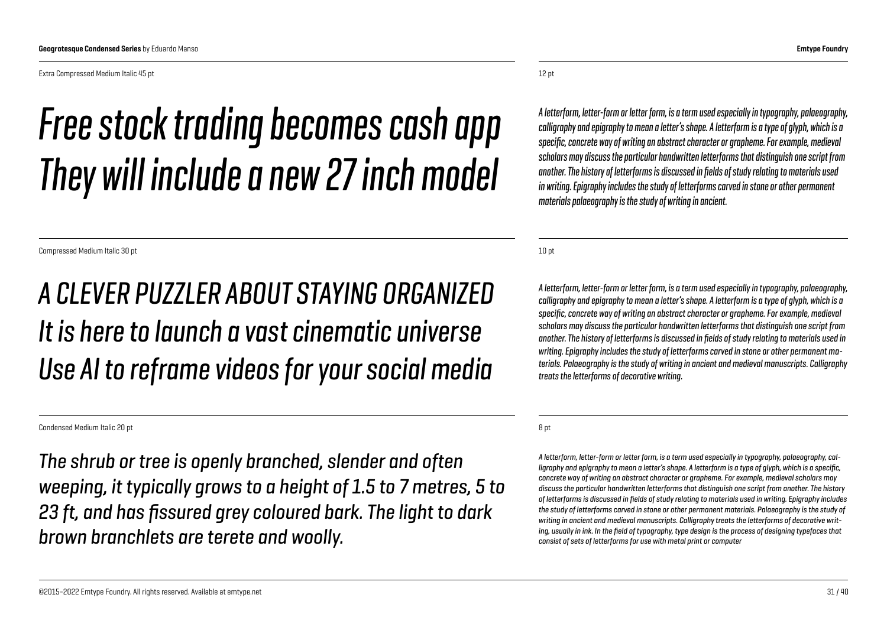Extra Compressed Medium Italic 45 pt

## *Free stock trading becomes cash app They will include a new 27 inch model*

Compressed Medium Italic 30 pt

#### *A CLEVER PUZZLER ABOUT STAYING ORGANIZED It is here to launch a vast cinematic universe Use AI to reframe videos for your social media*

Condensed Medium Italic 20 pt

*The shrub or tree is openly branched, slender and often weeping, it typically grows to a height of 1.5 to 7 metres, 5 to 23 ft, and has fissured grey coloured bark. The light to dark brown branchlets are terete and woolly.*

12 pt

*A letterform, letter-form or letter form, is a term used especially in typography, palaeography, calligraphy and epigraphy to mean a letter's shape. A letterform is a type of glyph, which is a specific, concrete way of writing an abstract character or grapheme. For example, medieval scholars may discuss the particular handwritten letterforms that distinguish one script from another. The history of letterforms is discussed in fields of study relating to materials used in writing. Epigraphy includes the study of letterforms carved in stone or other permanent materials palaeography is the study of writing in ancient.*

10 pt

*A letterform, letter-form or letter form, is a term used especially in typography, palaeography, calligraphy and epigraphy to mean a letter's shape. A letterform is a type of glyph, which is a specific, concrete way of writing an abstract character or grapheme. For example, medieval scholars may discuss the particular handwritten letterforms that distinguish one script from another. The history of letterforms is discussed in fields of study relating to materials used in writing. Epigraphy includes the study of letterforms carved in stone or other permanent materials. Palaeography is the study of writing in ancient and medieval manuscripts. Calligraphy treats the letterforms of decorative writing.*

8 pt

*A letterform, letter-form or letter form, is a term used especially in typography, palaeography, calligraphy and epigraphy to mean a letter's shape. A letterform is a type of glyph, which is a specific, concrete way of writing an abstract character or grapheme. For example, medieval scholars may discuss the particular handwritten letterforms that distinguish one script from another. The history of letterforms is discussed in fields of study relating to materials used in writing. Epigraphy includes*  the study of letterforms carved in stone or other permanent materials. Palaeography is the study of *writing in ancient and medieval manuscripts. Calligraphy treats the letterforms of decorative writing, usually in ink. In the field of typography, type design is the process of designing typefaces that consist of sets of letterforms for use with metal print or computer*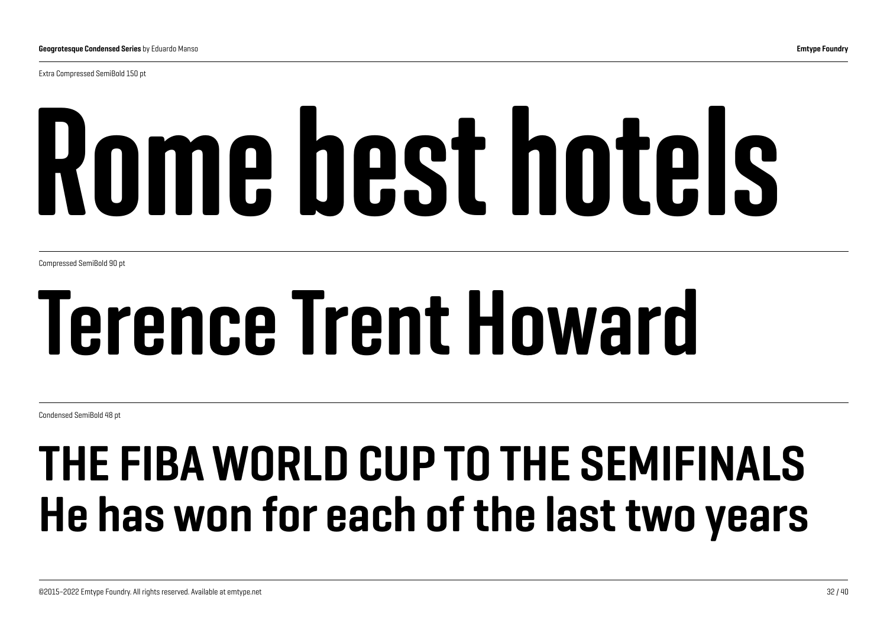Extra Compressed SemiBold 150 pt

# Rome best hotels

Compressed SemiBold 90 pt

## Terence Trent Howard

Condensed SemiBold 48 pt

## THE FIBA WORLD CUP TO THE SEMIFINALS He has won for each of the last two years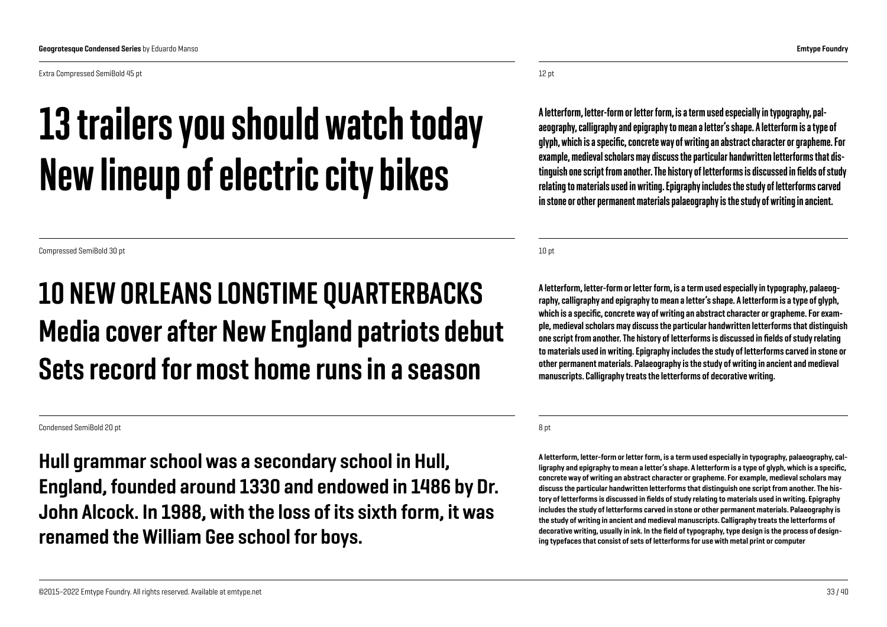Extra Compressed SemiBold 45 pt

### 13 trailers you should watch today New lineup of electric city bikes

Compressed SemiBold 30 pt

#### 10 NEW ORLEANS LONGTIME QUARTERBACKS Media cover after New England patriots debut Sets record for most home runs in a season

Condensed SemiBold 20 pt

Hull grammar school was a secondary school in Hull, England, founded around 1330 and endowed in 1486 by Dr. John Alcock. In 1988, with the loss of its sixth form, it was renamed the William Gee school for boys.

12 pt

A letterform, letter-form or letter form, is a term used especially in typography, palaeography, calligraphy and epigraphy to mean a letter's shape. A letterform is a type of glyph, which is a specific, concrete way of writing an abstract character or grapheme. For example, medieval scholars may discuss the particular handwritten letterforms that distinguish one script from another. The history of letterforms is discussed in fields of study relating to materials used in writing. Epigraphy includes the study of letterforms carved in stone or other permanent materials palaeography is the study of writing in ancient.

10 pt

A letterform, letter-form or letter form, is a term used especially in typography, palaeography, calligraphy and epigraphy to mean a letter's shape. A letterform is a type of glyph, which is a specific, concrete way of writing an abstract character or grapheme. For example, medieval scholars may discuss the particular handwritten letterforms that distinguish one script from another. The history of letterforms is discussed in fields of study relating to materials used in writing. Epigraphy includes the study of letterforms carved in stone or other permanent materials. Palaeography is the study of writing in ancient and medieval manuscripts. Calligraphy treats the letterforms of decorative writing.

8 pt

A letterform, letter-form or letter form, is a term used especially in typography, palaeography, calligraphy and epigraphy to mean a letter's shape. A letterform is a type of glyph, which is a specific, concrete way of writing an abstract character or grapheme. For example, medieval scholars may discuss the particular handwritten letterforms that distinguish one script from another. The history of letterforms is discussed in fields of study relating to materials used in writing. Epigraphy includes the study of letterforms carved in stone or other permanent materials. Palaeography is the study of writing in ancient and medieval manuscripts. Calligraphy treats the letterforms of decorative writing, usually in ink. In the field of typography, type design is the process of designing typefaces that consist of sets of letterforms for use with metal print or computer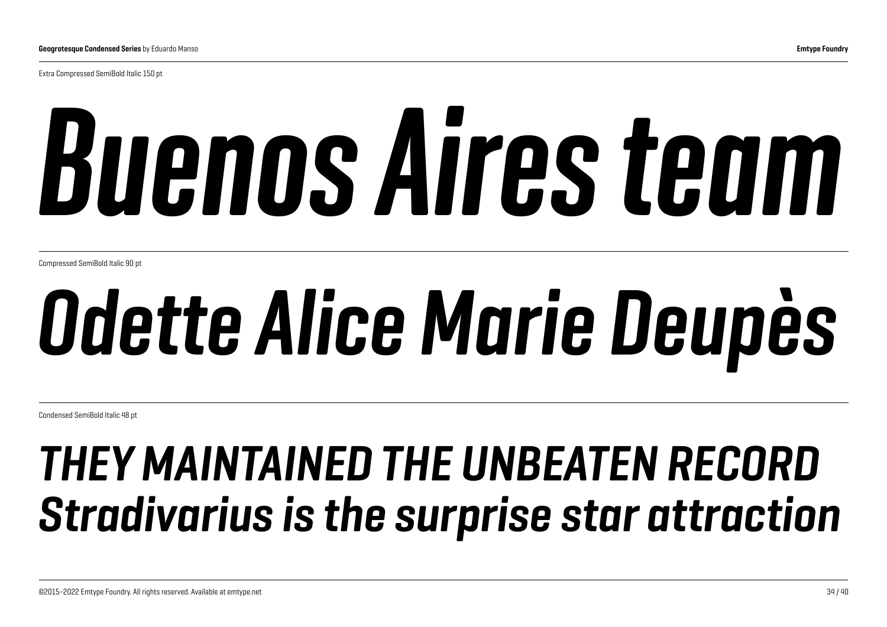Extra Compressed SemiBold Italic 150 pt

# *Buenos Aires team*

Compressed SemiBold Italic 90 pt

## *Odette Alice Marie Deupès*

Condensed SemiBold Italic 48 pt

## *THEY MAINTAINED THE UNBEATEN RECORD Stradivarius is the surprise star attraction*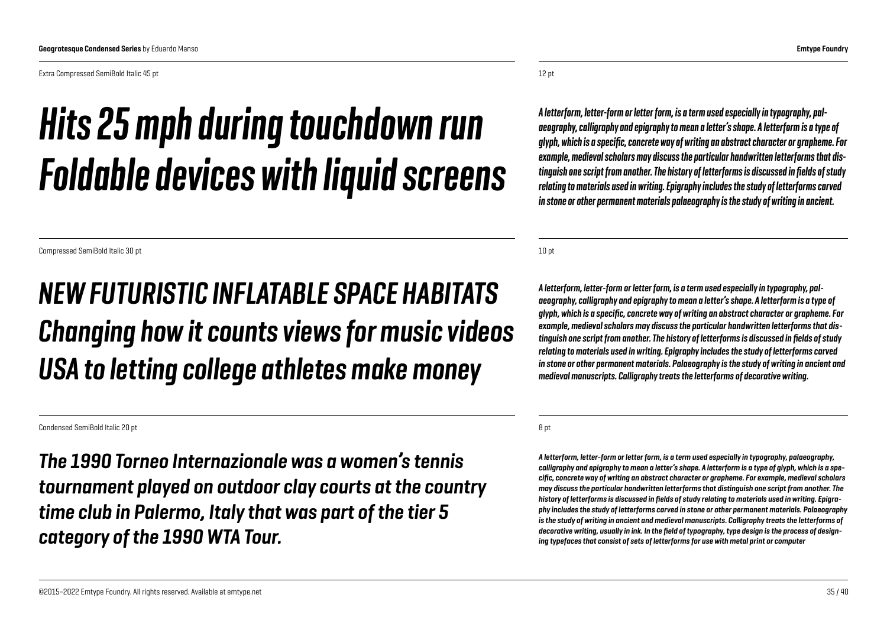Extra Compressed SemiBold Italic 45 pt

### *Hits 25 mph during touchdown run Foldable devices with liquid screens*

Compressed SemiBold Italic 30 pt

#### *NEW FUTURISTIC INFLATABLE SPACE HABITATS Changing how it counts views for music videos USA to letting college athletes make money*

Condensed SemiBold Italic 20 pt

*The 1990 Torneo Internazionale was a women's tennis tournament played on outdoor clay courts at the country time club in Palermo, Italy that was part of the tier 5 category of the 1990 WTA Tour.*

12 pt

*A letterform, letter-form or letter form, is a term used especially in typography, palaeography, calligraphy and epigraphy to mean a letter's shape. A letterform is a type of glyph, which is a specific, concrete way of writing an abstract character or grapheme. For example, medieval scholars may discuss the particular handwritten letterforms that distinguish one script from another. The history of letterforms is discussed in fields of study relating to materials used in writing. Epigraphy includes the study of letterforms carved in stone or other permanent materials palaeography is the study of writing in ancient.*

10 pt

*A letterform, letter-form or letter form, is a term used especially in typography, palaeography, calligraphy and epigraphy to mean a letter's shape. A letterform is a type of glyph, which is a specific, concrete way of writing an abstract character or grapheme. For example, medieval scholars may discuss the particular handwritten letterforms that distinguish one script from another. The history of letterforms is discussed in fields of study relating to materials used in writing. Epigraphy includes the study of letterforms carved in stone or other permanent materials. Palaeography is the study of writing in ancient and medieval manuscripts. Calligraphy treats the letterforms of decorative writing.*

8 pt

*A letterform, letter-form or letter form, is a term used especially in typography, palaeography, calligraphy and epigraphy to mean a letter's shape. A letterform is a type of glyph, which is a specific, concrete way of writing an abstract character or grapheme. For example, medieval scholars may discuss the particular handwritten letterforms that distinguish one script from another. The history of letterforms is discussed in fields of study relating to materials used in writing. Epigraphy includes the study of letterforms carved in stone or other permanent materials. Palaeography is the study of writing in ancient and medieval manuscripts. Calligraphy treats the letterforms of decorative writing, usually in ink. In the field of typography, type design is the process of designing typefaces that consist of sets of letterforms for use with metal print or computer*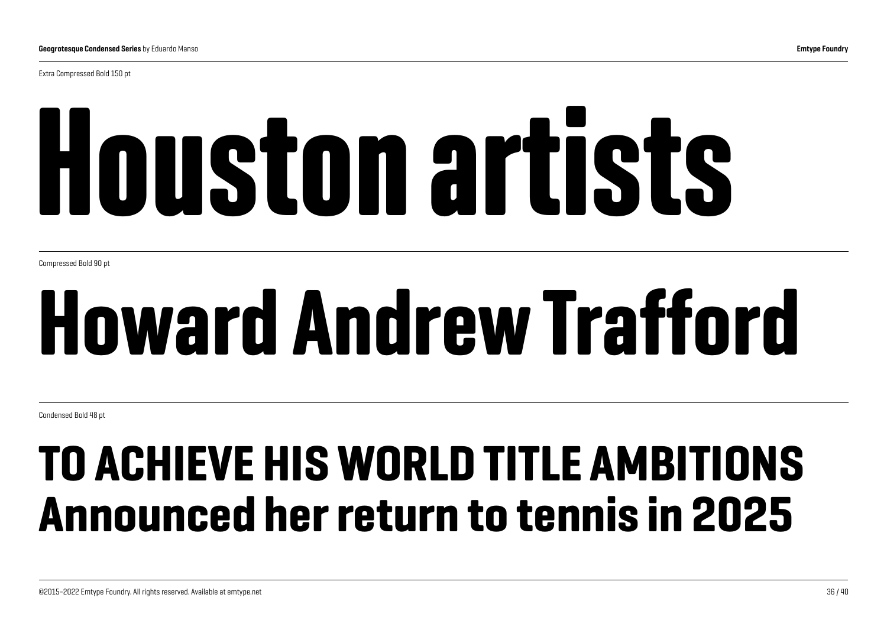Extra Compressed Bold 150 pt

# Houston artists

Compressed Bold 90 pt

## Howard Andrew Trafford

Condensed Bold 48 pt

## TO ACHIEVE HIS WORLD TITLE AMBITIONS Announced her return to tennis in 2025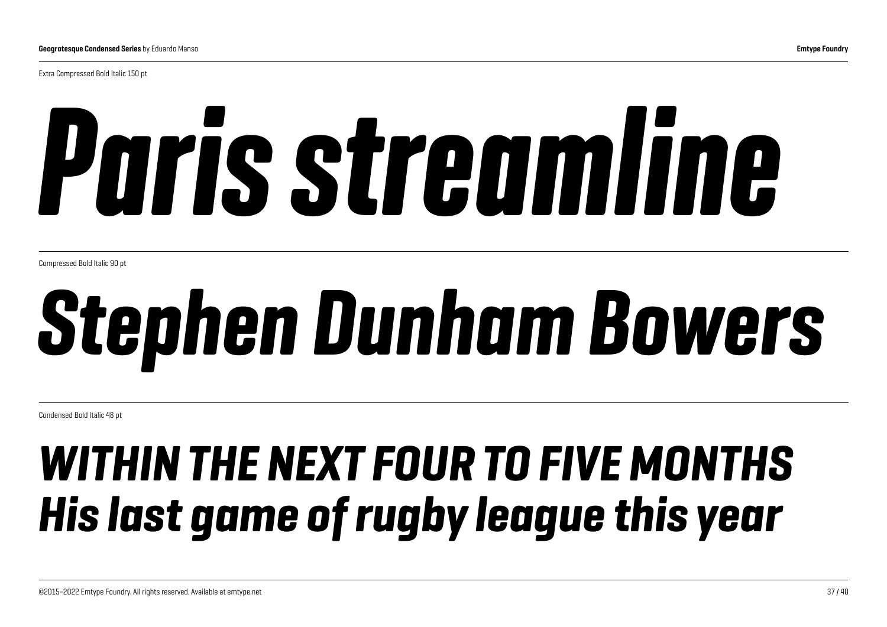Extra Compressed Bold Italic 150 pt

# *Paris streamline*

Compressed Bold Italic 90 pt

## *Stephen Dunham Bowers*

Condensed Bold Italic 48 pt

## *WITHIN THE NEXT FOUR TO FIVE MONTHS His last game of rugby league this year*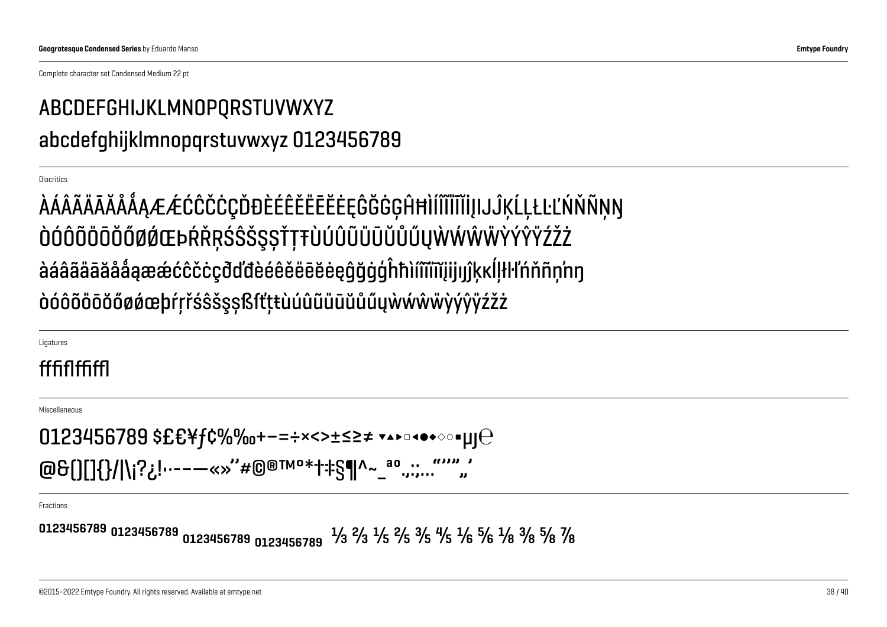Complete character set Condensed Medium 22 pt

#### ABCDEFGHIJKLMNOPQRSTUVWXYZ abcdefqhijklmnopqrstuvwxyz 0123456789

**Diacritics** 

ÀÁÂÃĂĀĂÅÅÅÆÆĆĈČČÇĎĐÈÉÊĚĔĔĔĔĘĜĞĠĢĤĦÌÍĨĨĨĨĬIJIJĴĶĹĻŁĿĽŃŇÑŅŊ ÒÓÔÕÖŌŎŐØØŒÞŔŘŖŚŜŠŞŞŤŢŦÙÚÛŨŨŨŨŮŰŲŴŴŴŸÝŶŸŹŽŻ àáâãäāăååąææćĉčċçđďđèéêěëēĕeqqğqqhhìímmijijjjkkllłl'nňnnnn òóôõöōŏőøøæþŕŗřśŝšşṣßſťṭŧùúûũüūŭűűųẁẃŵŵÿýŷÿźžż

Ligatures

#### fffiffffff

Miscellaneous

0123456789 \$£€¥f¢%‰+−=÷×<>±≤≥≠ ▼▲▶□◀●◆◇○■µ|⊖ @&[][]{}/|\j?¿!…----«»"#@®™°\*†‡§¶^~\_ªº … ""","

Fractions

0123456789 0123456789 0123456789 0123456789  $\frac{1}{3}$   $\frac{2}{3}$   $\frac{1}{5}$   $\frac{2}{5}$   $\frac{3}{5}$   $\frac{4}{5}$   $\frac{1}{6}$   $\frac{5}{6}$   $\frac{1}{8}$   $\frac{3}{8}$   $\frac{5}{8}$   $\frac{7}{8}$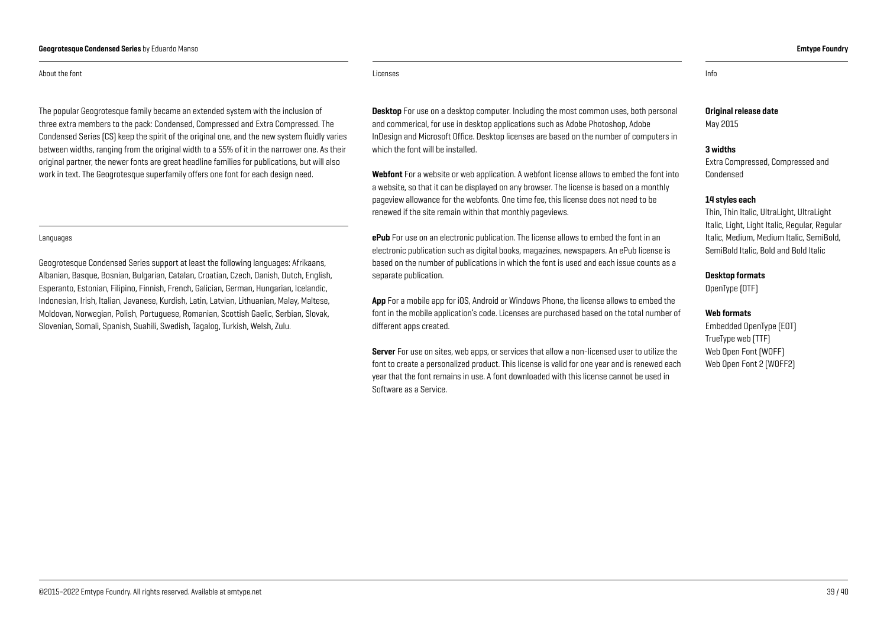#### Geogrotesque Condensed Series by Eduardo Manso **Emtype Foundry And American Series and Series And American Emtype Foundry**

#### About the font **Licenses** info and the control of the control of the control of the control of the control of the control of the control of the control of the control of the control of the control of the control of the con

The popular Geogrotesque family became an extended system with the inclusion of three extra members to the pack: Condensed, Compressed and Extra Compressed. The Condensed Series (CS) keep the spirit of the original one, and the new system fluidly varies between widths, ranging from the original width to a 55% of it in the narrower one. As their original partner, the newer fonts are great headline families for publications, but will also work in text. The Geogrotesque superfamily offers one font for each design need.

#### Languages

Geogrotesque Condensed Series support at least the following languages: Afrikaans, Albanian, Basque, Bosnian, Bulgarian, Catalan, Croatian, Czech, Danish, Dutch, English, Esperanto, Estonian, Filipino, Finnish, French, Galician, German, Hungarian, Icelandic, Indonesian, Irish, Italian, Javanese, Kurdish, Latin, Latvian, Lithuanian, Malay, Maltese, Moldovan, Norwegian, Polish, Portuguese, Romanian, Scottish Gaelic, Serbian, Slovak, Slovenian, Somali, Spanish, Suahili, Swedish, Tagalog, Turkish, Welsh, Zulu.

**Desktop** For use on a desktop computer. Including the most common uses, both personal and commerical, for use in desktop applications such as Adobe Photoshop, Adobe InDesign and Microsoft Office. Desktop licenses are based on the number of computers in which the font will be installed.

Webfont For a website or web application. A webfont license allows to embed the font into a website, so that it can be displayed on any browser. The license is based on a monthly pageview allowance for the webfonts. One time fee, this license does not need to be renewed if the site remain within that monthly pageviews.

ePub For use on an electronic publication. The license allows to embed the font in an electronic publication such as digital books, magazines, newspapers. An ePub license is based on the number of publications in which the font is used and each issue counts as a separate publication.

App For a mobile app for iOS, Android or Windows Phone, the license allows to embed the font in the mobile application's code. Licenses are purchased based on the total number of different apps created.

Server For use on sites, web apps, or services that allow a non-licensed user to utilize the font to create a personalized product. This license is valid for one year and is renewed each year that the font remains in use. A font downloaded with this license cannot be used in Software as a Service.

Original release date May 2015

#### 3 widths

Extra Compressed, Compressed and Condensed

#### 14 styles each

Thin, Thin Italic, UltraLight, UltraLight Italic, Light, Light Italic, Regular, Regular Italic, Medium, Medium Italic, SemiBold, SemiBold Italic, Bold and Bold Italic

#### Desktop formats

OpenType (OTF)

#### Web formats

Embedded OpenType (EOT) TrueType web (TTF) [Web Open Font](https://ca.wikipedia.org/wiki/Web_Open_Font_Format) (WOFF) [Web Open Font](https://ca.wikipedia.org/wiki/Web_Open_Font_Format) 2 (WOFF2)